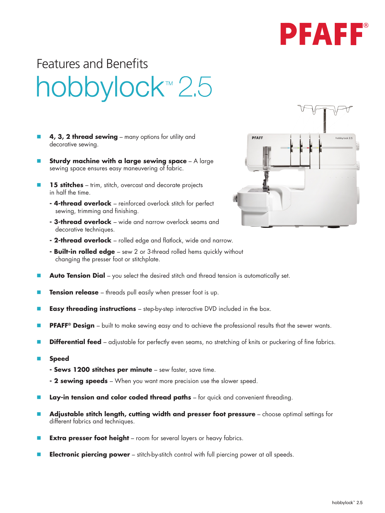

## Features and Benefitshobbylock<sup>™</sup> 2.5

- **4, 3, 2 thread sewing** many options for utility and decorative sewing.
- **Sturdy machine with a large sewing space** A large sewing space ensures easy maneuvering of fabric.
- 15 stitches trim, stitch, overcast and decorate projects in half the time.
	- **4-thread overlock**  reinforced overlock stitch for perfect sewing, trimming and finishing.
	- **3-thread overlock**  wide and narrow overlock seams and decorative techniques.
	- **2-thread overlock**  rolled edge and flatlock, wide and narrow.
	- **Built-in rolled edge**  sew 2 or 3-thread rolled hems quickly without changing the presser foot or stitchplate.
- **Auto Tension Dial** you select the desired stitch and thread tension is automatically set.
- **Tension release** threads pull easily when presser foot is up.
- **Easy threading instructions** step-by-step interactive DVD included in the box.
- **PFAFF® Design** built to make sewing easy and to achieve the professional results that the sewer wants.
- **Differential feed** adjustable for perfectly even seams, no stretching of knits or puckering of fine fabrics.
- **n** Speed
	- **Sews 1200 stitches per minute**  sew faster, save time.
	- **2 sewing speeds**  When you want more precision use the slower speed.
- **Lay-in tension and color coded thread paths** for quick and convenient threading.
- Adjustable stitch length, cutting width and presser foot pressure choose optimal settings for different fabrics and techniques.
- **Extra presser foot height** room for several layers or heavy fabrics.
- **Electronic piercing power** stitch-by-stitch control with full piercing power at all speeds.